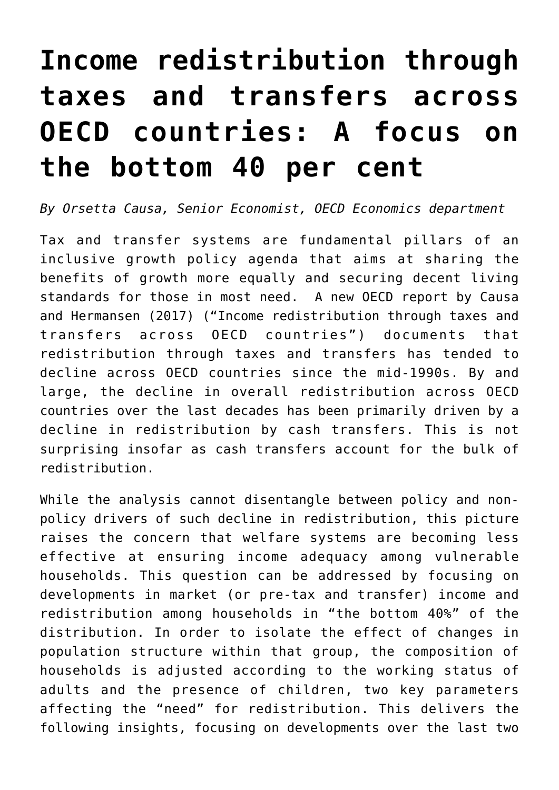## **[Income redistribution through](https://oecdecoscope.blog/2018/02/06/income-redistribution-through-taxes-and-transfers-across-oecd-countries-a-focus-on-the-bottom-40-per-cent/) [taxes and transfers across](https://oecdecoscope.blog/2018/02/06/income-redistribution-through-taxes-and-transfers-across-oecd-countries-a-focus-on-the-bottom-40-per-cent/) [OECD countries: A focus on](https://oecdecoscope.blog/2018/02/06/income-redistribution-through-taxes-and-transfers-across-oecd-countries-a-focus-on-the-bottom-40-per-cent/) [the bottom 40 per cent](https://oecdecoscope.blog/2018/02/06/income-redistribution-through-taxes-and-transfers-across-oecd-countries-a-focus-on-the-bottom-40-per-cent/)**

*By Orsetta Causa, Senior Economist, OECD Economics department*

Tax and transfer systems are fundamental pillars of an inclusive growth policy agenda that aims at sharing the benefits of growth more equally and securing decent living standards for those in most need. A new OECD report by Causa and Hermansen (2017) ("[Income redistribution through taxes and](http://www.oecd-ilibrary.org/economics/income-redistribution-through-taxes-and-transfers-across-oecd-countries_bc7569c6-en) [transfers across OECD countries](http://www.oecd-ilibrary.org/economics/income-redistribution-through-taxes-and-transfers-across-oecd-countries_bc7569c6-en)") documents that redistribution through taxes and transfers has tended to decline across OECD countries since the mid-1990s. By and large, the decline in overall redistribution across OECD countries over the last decades has been primarily driven by a decline in redistribution by cash transfers. This is not surprising insofar as cash transfers account for the bulk of redistribution.

While the analysis cannot disentangle between policy and nonpolicy drivers of such decline in redistribution, this picture raises the concern that welfare systems are becoming less effective at ensuring income adequacy among vulnerable households. This question can be addressed by focusing on developments in market (or pre-tax and transfer) income and redistribution among households in "the bottom 40%" of the distribution. In order to isolate the effect of changes in population structure within that group, the composition of households is adjusted according to the working status of adults and the presence of children, two key parameters affecting the "need" for redistribution. This delivers the following insights, focusing on developments over the last two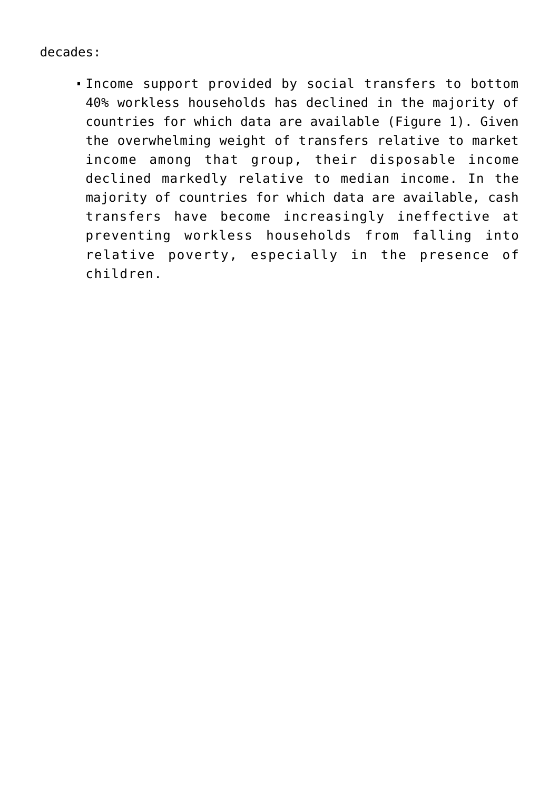decades:

Income support provided by social transfers to bottom 40% workless households has declined in the majority of countries for which data are available (Figure 1). Given the overwhelming weight of transfers relative to market income among that group, their disposable income declined markedly relative to median income. In the majority of countries for which data are available, cash transfers have become increasingly ineffective at preventing workless households from falling into relative poverty, especially in the presence of children.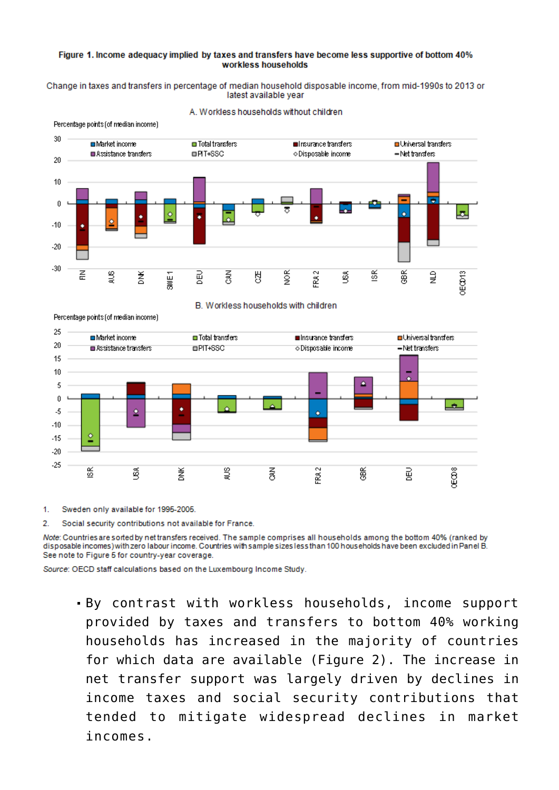## Figure 1. Income adequacy implied by taxes and transfers have become less supportive of bottom 40% workless households

Change in taxes and transfers in percentage of median household disposable income, from mid-1990s to 2013 or latest available vear



A. Workless households without children







 $1.$ Sweden only available for 1995-2005.

 $\overline{2}$ Social security contributions not available for France.

Note: Countries are sorted by net transfers received. The sample comprises all households among the bottom 40% (ranked by disposable incomes) with zero labour income. Countries with sample sizes less than 100 households have been excluded in Panel B. See note to Figure 5 for country-year coverage.

Source: OECD staff calculations based on the Luxembourg Income Study.

. By contrast with workless households, income support provided by taxes and transfers to bottom 40% working households has increased in the majority of countries for which data are available (Figure 2). The increase in net transfer support was largely driven by declines in income taxes and social security contributions that tended to mitigate widespread declines in market incomes.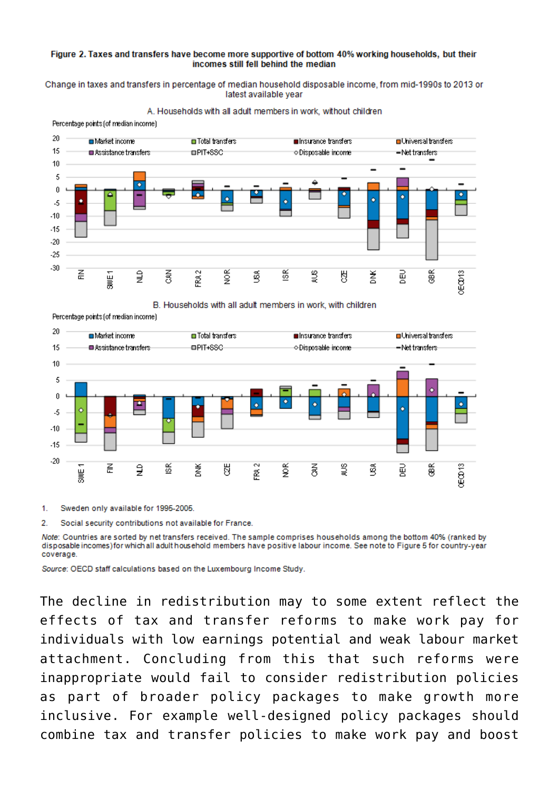## Figure 2. Taxes and transfers have become more supportive of bottom 40% working households, but their incomes still fell behind the median

Change in taxes and transfers in percentage of median household disposable income, from mid-1990s to 2013 or latest available vear



A. Households with all adult members in work, without children

B. Households with all adult members in work, with children



Percentage points (of median income)

Sweden only available for 1995-2005.  $\mathbf{1}$ 

2 Social security contributions not available for France.

Note: Countries are sorted by net transfers received. The sample comprises households among the bottom 40% (ranked by disposable incomes) for which all adult household members have positive labour income. See note to Figure 5 for country-year coverage.

Source: OECD staff calculations based on the Luxembourg Income Study.

The decline in redistribution may to some extent reflect the effects of tax and transfer reforms to make work pay for individuals with low earnings potential and weak labour market attachment. Concluding from this that such reforms were inappropriate would fail to consider redistribution policies as part of broader policy packages to make growth more inclusive. For example well-designed policy packages should combine tax and transfer policies to make work pay and boost